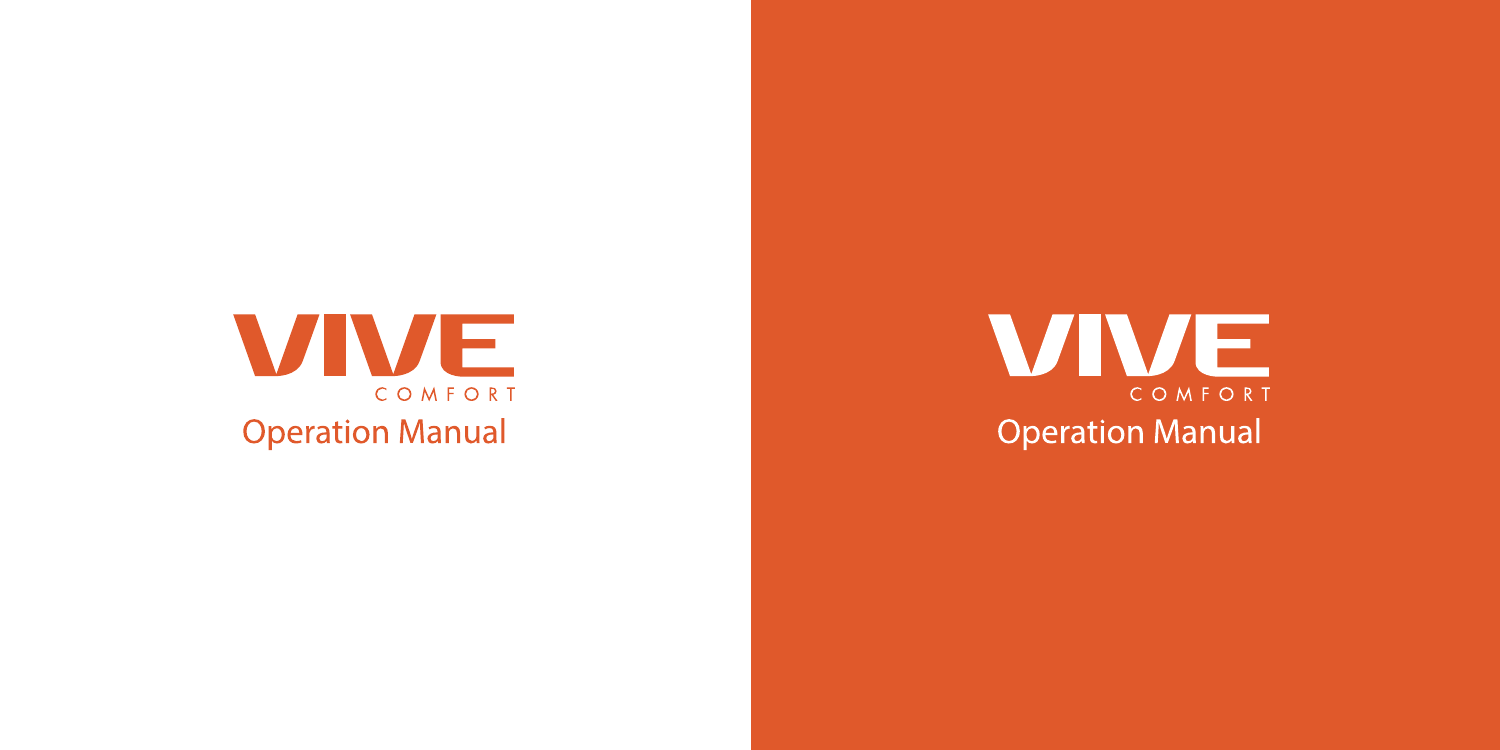

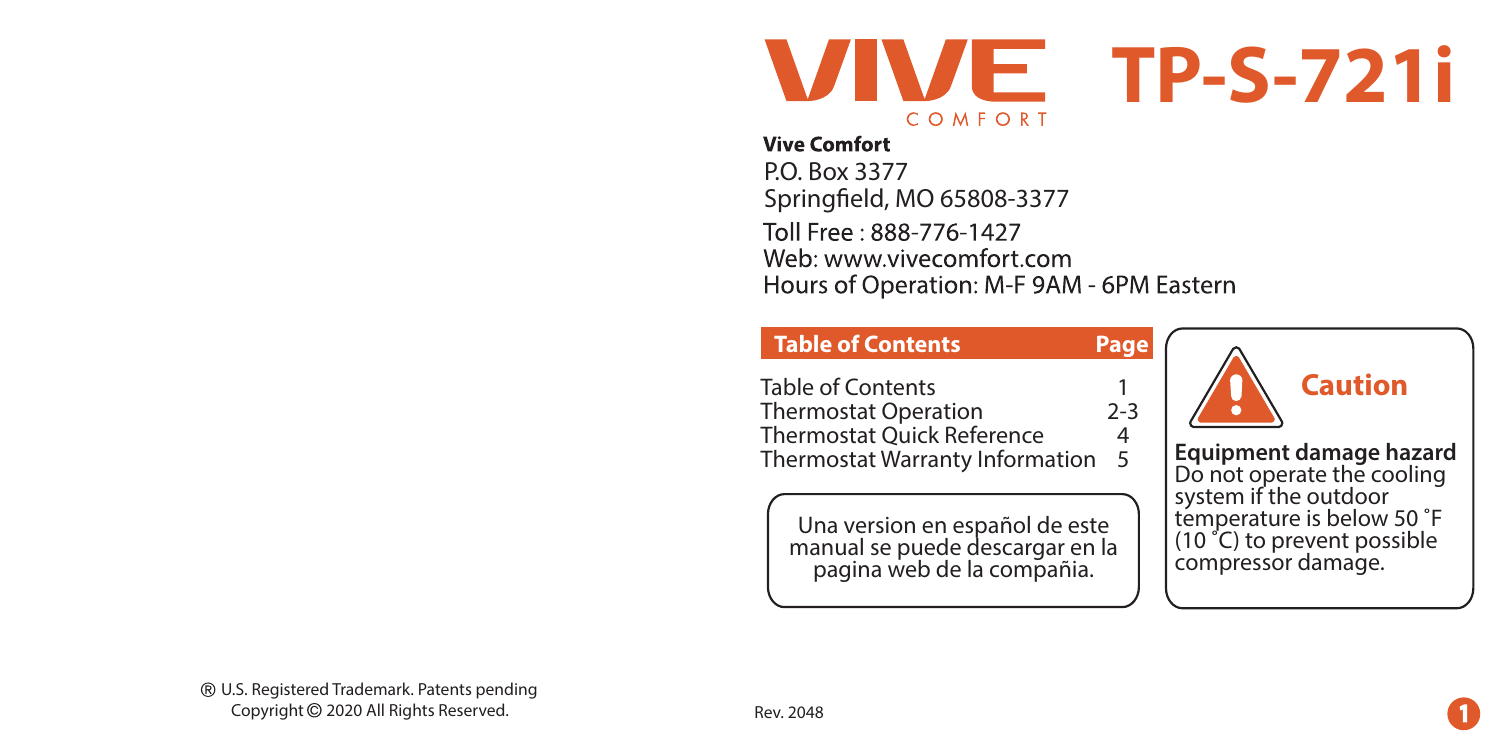

**Page**

### **Vive Comfort**

P.O. Box 3377 Springfield, MO 65808-3377 Toll Free: 888-776-1427 Web: www.vivecomfort.com Hours of Operation: M-F 9AM - 6PM Eastern

## **Table of Contents**

Table of Contents Thermostat Operation Thermostat Quick Reference Thermostat Warranty Information 2-3  $\Delta$ 5 1

Una version en español de este manual se puede descargar en la pagina web de la compañia.



**Equipment damage hazard**  Do not operate the cooling system if the outdoor temperature is below 50 °F (10 ˚C) to prevent possible compressor damage.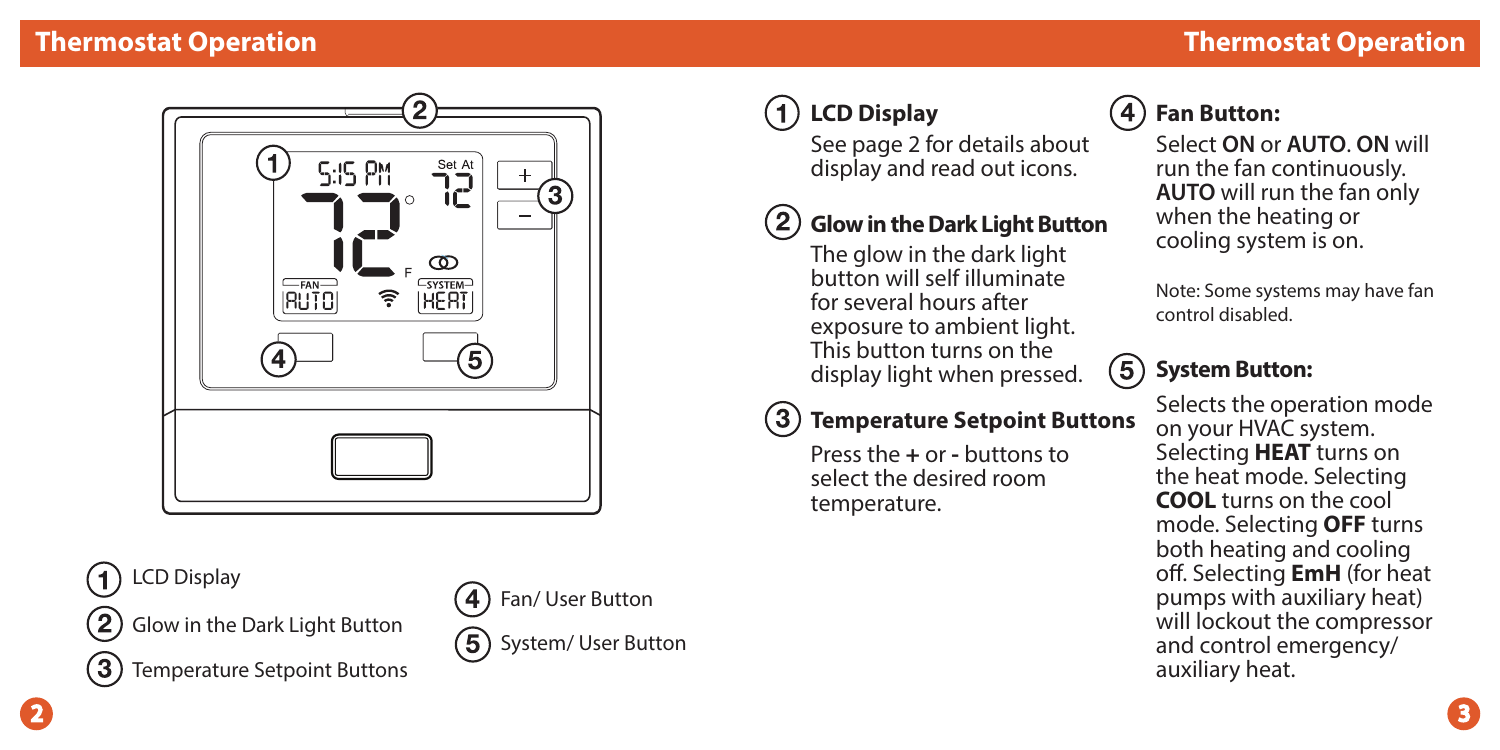

LCD Display

Glow in the Dark Light Button



2

Temperature Setpoint Buttons

Fan/ User Button  $(5)$ System/ User Button

# **LCD Display**

See page 2 for details about display and read out icons.

# **Glow in the Dark Light Button**

The glow in the dark light button will self illuminate for several hours after exposure to ambient light. This button turns on the display light when pressed.

#### (3) **Temperature Setpoint Buttons**

Press the **+** or **-** buttons to select the desired room temperature.

# **Fan Button:**

Select **ON** or **AUTO**. **ON** will run the fan continuously. **AUTO** will run the fan only when the heating or cooling system is on.

Note: Some systems may have fan control disabled.

#### $(5)$ **System Button:**

Selects the operation mode on your HVAC system. Selecting **HEAT** turns on the heat mode. Selecting **COOL** turns on the cool mode. Selecting **OFF** turns both heating and cooling off. Selecting **EmH** (for heat pumps with auxiliary heat) will lockout the compressor and control emergency/ auxiliary heat.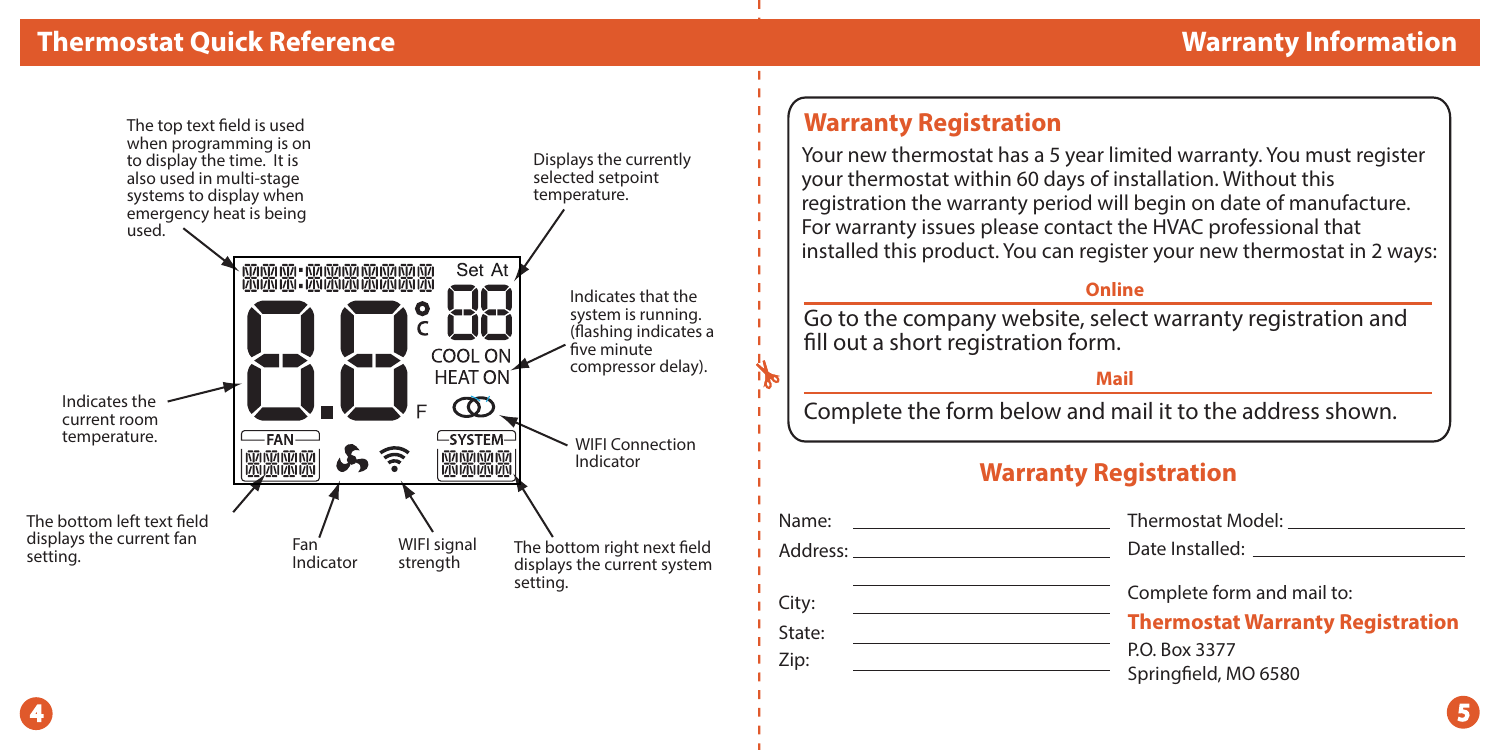

## **Warranty Registration**

State: Zip:

Your new thermostat has a 5 year limited warranty. You must register your thermostat within 60 days of installation. Without this registration the warranty period will begin on date of manufacture. For warranty issues please contact the HVAC professional that installed this product. You can register your new thermostat in 2 ways:

### **Online**

Go to the company website, select warranty registration and fill out a short registration form.

### **Mail**

Complete the form below and mail it to the address shown.

## **Warranty Registration**

| iS: | Date Installed: Note that the state of the state of the state of the state of the state of the state of the state of the state of the state of the state of the state of the state of the state of the state of the state of t |
|-----|--------------------------------------------------------------------------------------------------------------------------------------------------------------------------------------------------------------------------------|
|     | Complete form and mail to:                                                                                                                                                                                                     |
|     | <b>Thermostat Warranty Registration</b>                                                                                                                                                                                        |
|     | P.O. Box 3377                                                                                                                                                                                                                  |
|     | Springfield, MO 6580                                                                                                                                                                                                           |
|     |                                                                                                                                                                                                                                |